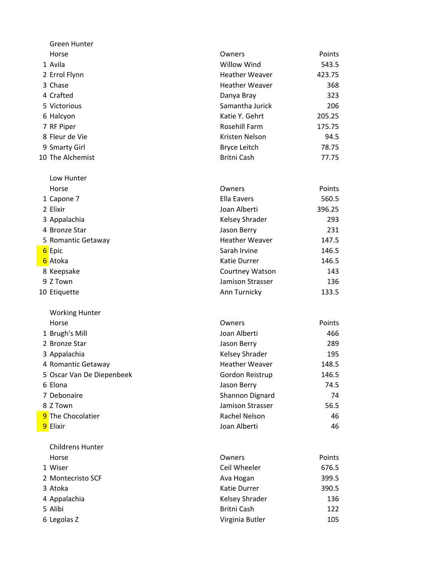| Green Hunter              |                                   |          |
|---------------------------|-----------------------------------|----------|
| Horse                     | Owners                            | Points   |
| 1 Avila                   | <b>Willow Wind</b>                | 543.5    |
| 2 Errol Flynn             | <b>Heather Weaver</b>             | 423.75   |
| 3 Chase                   | <b>Heather Weaver</b>             | 368      |
| 4 Crafted                 | Danya Bray                        | 323      |
| 5 Victorious              | Samantha Jurick                   | 206      |
| 6 Halcyon                 | Katie Y. Gehrt                    | 205.25   |
| 7 RF Piper                | Rosehill Farm                     | 175.75   |
| 8 Fleur de Vie            | Kristen Nelson                    | 94.5     |
| 9 Smarty Girl             | <b>Bryce Leitch</b>               | 78.75    |
| 10 The Alchemist          | <b>Britni Cash</b>                | 77.75    |
| Low Hunter                |                                   |          |
| Horse                     | Owners                            | Points   |
| 1 Capone 7                | <b>Ella Eavers</b>                | 560.5    |
| 2 Elixir                  | Joan Alberti                      | 396.25   |
| 3 Appalachia              | Kelsey Shrader                    | 293      |
| 4 Bronze Star             | Jason Berry                       | 231      |
| 5 Romantic Getaway        | <b>Heather Weaver</b>             | 147.5    |
| 6 Epic                    | Sarah Irvine                      | 146.5    |
| 6 Atoka                   | <b>Katie Durrer</b>               | 146.5    |
| 8 Keepsake                | Courtney Watson                   | 143      |
| 9 Z Town                  | Jamison Strasser                  | 136      |
| 10 Etiquette              | Ann Turnicky                      | 133.5    |
| <b>Working Hunter</b>     |                                   |          |
| Horse                     | Owners                            | Points   |
| 1 Brugh's Mill            | Joan Alberti                      | 466      |
| 2 Bronze Star             | Jason Berry                       | 289      |
| 3 Appalachia              | Kelsey Shrader                    | 195      |
| 4 Romantic Getaway        | <b>Heather Weaver</b>             | 148.5    |
| 5 Oscar Van De Diepenbeek | Gordon Reistrup                   | 146.5    |
| 6 Elona<br>7 Debonaire    | Jason Berry                       | 74.5     |
| 8 Z Town                  | Shannon Dignard                   | 74       |
| 9 The Chocolatier         | Jamison Strasser<br>Rachel Nelson | 56.5     |
| 9 Elixir                  | Joan Alberti                      | 46<br>46 |
|                           |                                   |          |
| <b>Childrens Hunter</b>   |                                   |          |
| Horse                     | Owners                            | Points   |
| 1 Wiser                   | Ceil Wheeler                      | 676.5    |
| 2 Montecristo SCF         | Ava Hogan                         | 399.5    |
| 3 Atoka                   | <b>Katie Durrer</b>               | 390.5    |
| 4 Appalachia              | Kelsey Shrader                    | 136      |
| 5 Alibi                   | Britni Cash                       | 122      |
| 6 Legolas Z               | Virginia Butler                   | 105      |
|                           |                                   |          |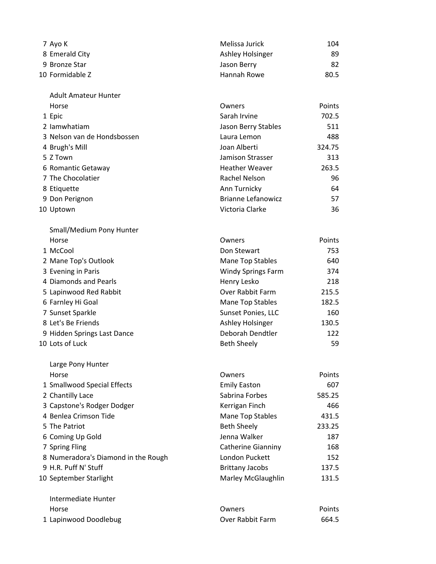| 7 Avo K         | Melissa Jurick   | 104  |
|-----------------|------------------|------|
| 8 Emerald City  | Ashley Holsinger | 89   |
| 9 Bronze Star   | Jason Berry      | 82   |
| 10 Formidable Z | Hannah Rowe      | 80.5 |
|                 |                  |      |

| <b>Adult Amateur Hunter</b> |                           |        |
|-----------------------------|---------------------------|--------|
| Horse                       | Owners                    | Points |
| 1 Epic                      | Sarah Irvine              | 702.5  |
| 2 lamwhatiam                | Jason Berry Stables       | 511    |
| 3 Nelson van de Hondsbossen | Laura Lemon               | 488    |
| 4 Brugh's Mill              | Joan Alberti              | 324.75 |
| 5 Z Town                    | Jamison Strasser          | 313    |
| 6 Romantic Getaway          | <b>Heather Weaver</b>     | 263.5  |
| 7 The Chocolatier           | Rachel Nelson             | 96     |
| 8 Etiquette                 | Ann Turnicky              | 64     |
| 9 Don Perignon              | <b>Brianne Lefanowicz</b> | 57     |

10 Uptown 36

Large Pony Hunter

| Small/Medium Pony Hunter    |                           |        |
|-----------------------------|---------------------------|--------|
| Horse                       | Owners                    | Points |
| 1 McCool                    | Don Stewart               | 753    |
| 2 Mane Top's Outlook        | Mane Top Stables          | 640    |
| 3 Evening in Paris          | <b>Windy Springs Farm</b> | 374    |
| 4 Diamonds and Pearls       | Henry Lesko               | 218    |
| 5 Lapinwood Red Rabbit      | Over Rabbit Farm          | 215.5  |
| 6 Farnley Hi Goal           | Mane Top Stables          | 182.5  |
| 7 Sunset Sparkle            | Sunset Ponies, LLC        | 160    |
| 8 Let's Be Friends          | Ashley Holsinger          | 130.5  |
| 9 Hidden Springs Last Dance | Deborah Dendtler          | 122    |
| 10 Lots of Luck             | <b>Beth Sheely</b>        | 59     |

| Horse                               | Owners                    | Points |
|-------------------------------------|---------------------------|--------|
| 1 Smallwood Special Effects         | <b>Emily Easton</b>       | 607    |
| 2 Chantilly Lace                    | Sabrina Forbes            | 585.25 |
| 3 Capstone's Rodger Dodger          | Kerrigan Finch            | 466    |
| 4 Benlea Crimson Tide               | Mane Top Stables          | 431.5  |
| 5 The Patriot                       | <b>Beth Sheely</b>        | 233.25 |
| 6 Coming Up Gold                    | Jenna Walker              | 187    |
| 7 Spring Fling                      | <b>Catherine Gianniny</b> | 168    |
| 8 Numeradora's Diamond in the Rough | London Puckett            | 152    |
| 9 H.R. Puff N' Stuff                | <b>Brittany Jacobs</b>    | 137.5  |
| 10 September Starlight              | Marley McGlaughlin        | 131.5  |
| Intermediate Hunter                 |                           |        |
| Horse                               | Owners                    | Points |
| 1 Lapinwood Doodlebug               | Over Rabbit Farm          | 664.5  |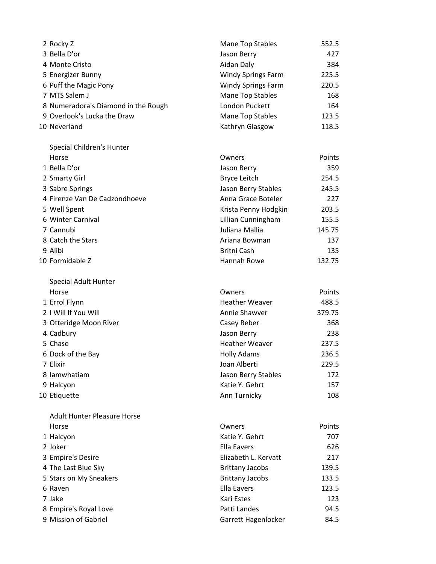| 2 Rocky Z                           | <b>Mane Top Stables</b>   | 552.5  |
|-------------------------------------|---------------------------|--------|
| 3 Bella D'or                        | Jason Berry               | 427    |
| 4 Monte Cristo                      | Aidan Daly                | 384    |
| 5 Energizer Bunny                   | <b>Windy Springs Farm</b> | 225.5  |
| 6 Puff the Magic Pony               | <b>Windy Springs Farm</b> | 220.5  |
| 7 MTS Salem J                       | Mane Top Stables          | 168    |
| 8 Numeradora's Diamond in the Rough | London Puckett            | 164    |
| 9 Overlook's Lucka the Draw         | Mane Top Stables          | 123.5  |
| 10 Neverland                        | Kathryn Glasgow           | 118.5  |
| Special Children's Hunter           |                           |        |
| Horse                               | Owners                    | Points |
| 1 Bella D'or                        | Jason Berry               | 359    |
| 2 Smarty Girl                       | <b>Bryce Leitch</b>       | 254.5  |
| 3 Sabre Springs                     | Jason Berry Stables       | 245.5  |
| 4 Firenze Van De Cadzondhoeve       | Anna Grace Boteler        | 227    |
| 5 Well Spent                        | Krista Penny Hodgkin      | 203.5  |
| 6 Winter Carnival                   | Lillian Cunningham        | 155.5  |
| 7 Cannubi                           | Juliana Mallia            | 145.75 |
| 8 Catch the Stars                   | Ariana Bowman             | 137    |
| 9 Alibi                             | Britni Cash               | 135    |
| 10 Formidable Z                     | Hannah Rowe               | 132.75 |
| Special Adult Hunter                |                           |        |
| Horse                               | Owners                    | Points |
| 1 Errol Flynn                       | <b>Heather Weaver</b>     | 488.5  |
| 2   Will If You Will                | Annie Shawver             | 379.75 |
| 3 Otteridge Moon River              | Casey Reber               | 368    |
| 4 Cadbury                           | Jason Berry               | 238    |
| 5 Chase                             | <b>Heather Weaver</b>     | 237.5  |
| 6 Dock of the Bay                   | <b>Holly Adams</b>        | 236.5  |
| 7 Elixir                            | Joan Alberti              | 229.5  |
| 8 lamwhatiam                        | Jason Berry Stables       | 172    |
| 9 Halcyon                           | Katie Y. Gehrt            | 157    |
| 10 Etiquette                        | Ann Turnicky              | 108    |
| <b>Adult Hunter Pleasure Horse</b>  |                           |        |
| Horse                               | Owners                    | Points |
| 1 Halcyon                           | Katie Y. Gehrt            | 707    |
| 2 Joker                             | <b>Ella Eavers</b>        | 626    |
| 3 Empire's Desire                   | Elizabeth L. Kervatt      | 217    |
| 4 The Last Blue Sky                 | <b>Brittany Jacobs</b>    | 139.5  |
| 5 Stars on My Sneakers              | <b>Brittany Jacobs</b>    | 133.5  |
| 6 Raven                             | <b>Ella Eavers</b>        | 123.5  |
| 7 Jake                              | Kari Estes                | 123    |
| 8 Empire's Royal Love               | Patti Landes              | 94.5   |
| 9 Mission of Gabriel                | Garrett Hagenlocker       | 84.5   |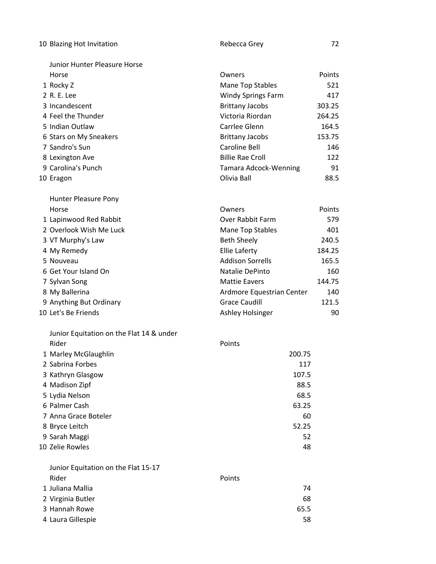| 10 Blazing Hot Invitation                | Rebecca Grey              | 72     |
|------------------------------------------|---------------------------|--------|
| Junior Hunter Pleasure Horse             |                           |        |
| Horse                                    | Owners                    | Points |
| 1 Rocky Z                                | Mane Top Stables          | 521    |
| 2 R. E. Lee                              | <b>Windy Springs Farm</b> | 417    |
| 3 Incandescent                           | <b>Brittany Jacobs</b>    | 303.25 |
| 4 Feel the Thunder                       | Victoria Riordan          | 264.25 |
| 5 Indian Outlaw                          | Carrlee Glenn             | 164.5  |
| 6 Stars on My Sneakers                   | <b>Brittany Jacobs</b>    | 153.75 |
| 7 Sandro's Sun                           | Caroline Bell             | 146    |
| 8 Lexington Ave                          | <b>Billie Rae Croll</b>   | 122    |
| 9 Carolina's Punch                       | Tamara Adcock-Wenning     | 91     |
| 10 Eragon                                | Olivia Ball               | 88.5   |
| Hunter Pleasure Pony                     |                           |        |
| Horse                                    | Owners                    | Points |
| 1 Lapinwood Red Rabbit                   | Over Rabbit Farm          | 579    |
| 2 Overlook Wish Me Luck                  | Mane Top Stables          | 401    |
| 3 VT Murphy's Law                        | <b>Beth Sheely</b>        | 240.5  |
| 4 My Remedy                              | <b>Ellie Laferty</b>      | 184.25 |
| 5 Nouveau                                | <b>Addison Sorrells</b>   | 165.5  |
| 6 Get Your Island On                     | Natalie DePinto           | 160    |
| 7 Sylvan Song                            | <b>Mattie Eavers</b>      | 144.75 |
| 8 My Ballerina                           | Ardmore Equestrian Center | 140    |
| 9 Anything But Ordinary                  | <b>Grace Caudill</b>      | 121.5  |
| 10 Let's Be Friends                      | Ashley Holsinger          | 90     |
| Junior Equitation on the Flat 14 & under |                           |        |
| Rider                                    | Points                    |        |
| 1 Marley McGlaughlin                     | 200.75                    |        |
| 2 Sabrina Forbes                         | 117                       |        |
| 3 Kathryn Glasgow                        | 107.5                     |        |
| 4 Madison Zipf                           | 88.5                      |        |
| 5 Lydia Nelson                           | 68.5                      |        |
| 6 Palmer Cash                            | 63.25                     |        |
| 7 Anna Grace Boteler                     | 60                        |        |
| 8 Bryce Leitch                           | 52.25                     |        |
| 9 Sarah Maggi                            | 52                        |        |
| 10 Zelie Rowles                          | 48                        |        |
| Junior Equitation on the Flat 15-17      |                           |        |
| Rider                                    | Points                    |        |
| 1 Juliana Mallia                         | 74                        |        |
| 2 Virginia Butler                        | 68                        |        |
| 3 Hannah Rowe                            | 65.5                      |        |
| 4 Laura Gillespie                        | 58                        |        |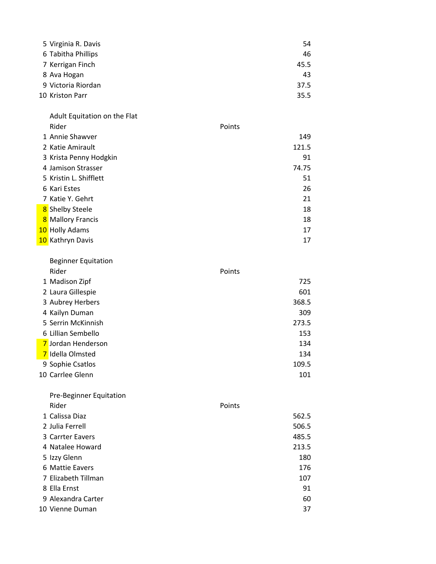| 5 Virginia R. Davis | 54   |
|---------------------|------|
| 6 Tabitha Phillips  | 46   |
| 7 Kerrigan Finch    | 45.5 |
| 8 Ava Hogan         | 43   |
| 9 Victoria Riordan  | 37.5 |
| 10 Kriston Parr     | 35.5 |

Adult Equitation on the Flat Rider **Rider Points** 1 Annie Shawver 149 Katie Amirault 121.5 3 Krista Penny Hodgkin 91 Jamison Strasser 74.75 5 Kristin L. Shifflett 51 September 1988 Strategies 31 Strategies 31 Strategies 31 Strategies 31 Strategies 31 Kari Estes 26 Katie Y. Gehrt 21 <mark>8</mark> Shelby Steele 18 and the step of the step of the step of the step of the step of the step of the step of the s <mark>8</mark> Mallory Francis **18** Mallory Francis **18** 10 Holly Adams 17 and a statistic statistic statistic statistic statistic statistic statistic statistic statistic statistic statistic statistic statistic statistic statistic statistic statistic statistic statistic statistic statistic statis

| <b>Beginner Equitation</b> |        |
|----------------------------|--------|
| Rider                      | Points |
| 1 Madison Zipf             | 725    |
| 2 Laura Gillespie          | 601    |
| 3 Aubrey Herbers           | 368.5  |
| 4 Kailyn Duman             | 309    |
| 5 Serrin McKinnish         | 273.5  |
| 6 Lillian Sembello         | 153    |
| 7 Jordan Henderson         | 134    |
| 7 Idella Olmsted           | 134    |
| 9 Sophie Csatlos           | 109.5  |
| 10 Carrlee Glenn           | 101    |

| <b>Pre-Beginner Equitation</b> |        |
|--------------------------------|--------|
| Rider                          | Points |
| 1 Calissa Diaz                 | 562.5  |
| 2 Julia Ferrell                | 506.5  |
| 3 Carrter Eavers               | 485.5  |
| 4 Natalee Howard               | 213.5  |
| 5 Izzy Glenn                   | 180    |
| 6 Mattie Eavers                | 176    |
| 7 Elizabeth Tillman            | 107    |
| 8 Ella Ernst                   | 91     |
| 9 Alexandra Carter             | 60     |
| 10 Vienne Duman                | 37     |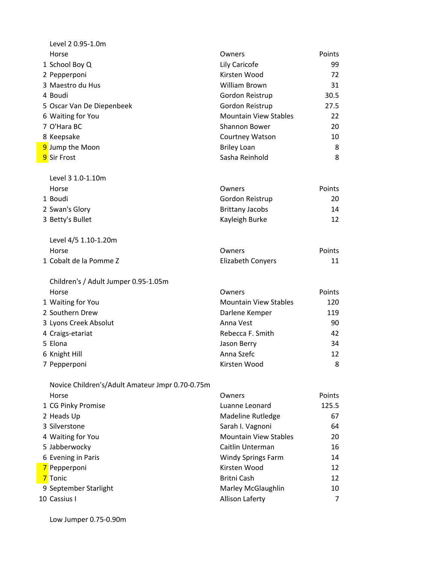| Level 2 0.95-1.0m                               |                              |               |
|-------------------------------------------------|------------------------------|---------------|
| Horse                                           | Owners                       | Points        |
| 1 School Boy Q                                  | Lily Caricofe                | 99            |
| 2 Pepperponi                                    | Kirsten Wood                 | 72            |
| 3 Maestro du Hus                                | William Brown                | 31            |
| 4 Boudi                                         | Gordon Reistrup              | 30.5          |
| 5 Oscar Van De Diepenbeek                       | Gordon Reistrup              | 27.5          |
| 6 Waiting for You                               | <b>Mountain View Stables</b> | 22            |
| 7 O'Hara BC                                     | Shannon Bower                | 20            |
| 8 Keepsake                                      | Courtney Watson              | 10            |
| 9 Jump the Moon                                 | <b>Briley Loan</b>           | 8             |
| 9 Sir Frost                                     | Sasha Reinhold               | 8             |
| Level 3 1.0-1.10m                               |                              |               |
| Horse                                           | Owners                       | Points        |
| 1 Boudi                                         | Gordon Reistrup              | 20            |
| 2 Swan's Glory                                  | <b>Brittany Jacobs</b>       | 14            |
| 3 Betty's Bullet                                | Kayleigh Burke               | 12            |
| Level 4/5 1.10-1.20m                            |                              |               |
| Horse                                           | Owners                       | <b>Points</b> |
| 1 Cobalt de la Pomme Z                          | <b>Elizabeth Conyers</b>     | 11            |
| Children's / Adult Jumper 0.95-1.05m            |                              |               |
| Horse                                           | Owners                       | <b>Points</b> |
| 1 Waiting for You                               | <b>Mountain View Stables</b> | 120           |
| 2 Southern Drew                                 | Darlene Kemper               | 119           |
| 3 Lyons Creek Absolut                           | Anna Vest                    | 90            |
| 4 Craigs-etariat                                | Rebecca F. Smith             | 42            |
| 5 Elona                                         | Jason Berry                  | 34            |
| 6 Knight Hill                                   | Anna Szefc                   | 12            |
| 7 Pepperponi                                    | Kirsten Wood                 | 8             |
| Novice Children's/Adult Amateur Jmpr 0.70-0.75m |                              |               |
| Horse                                           | Owners                       | <b>Points</b> |
| 1 CG Pinky Promise                              | Luanne Leonard               | 125.5         |
| 2 Heads Up                                      | Madeline Rutledge            | 67            |
| 3 Silverstone                                   | Sarah I. Vagnoni             | 64            |
| 4 Waiting for You                               | <b>Mountain View Stables</b> | 20            |
| 5 Jabberwocky                                   | Caitlin Unterman             | 16            |
| 6 Evening in Paris                              | <b>Windy Springs Farm</b>    | 14            |
| 7 Pepperponi                                    | Kirsten Wood                 | 12            |
| 7 Tonic                                         | <b>Britni Cash</b>           | 12            |
| 9 September Starlight                           | Marley McGlaughlin           | 10            |
| 10 Cassius I                                    | <b>Allison Laferty</b>       | 7             |
|                                                 |                              |               |

Low Jumper 0.75-0.90m